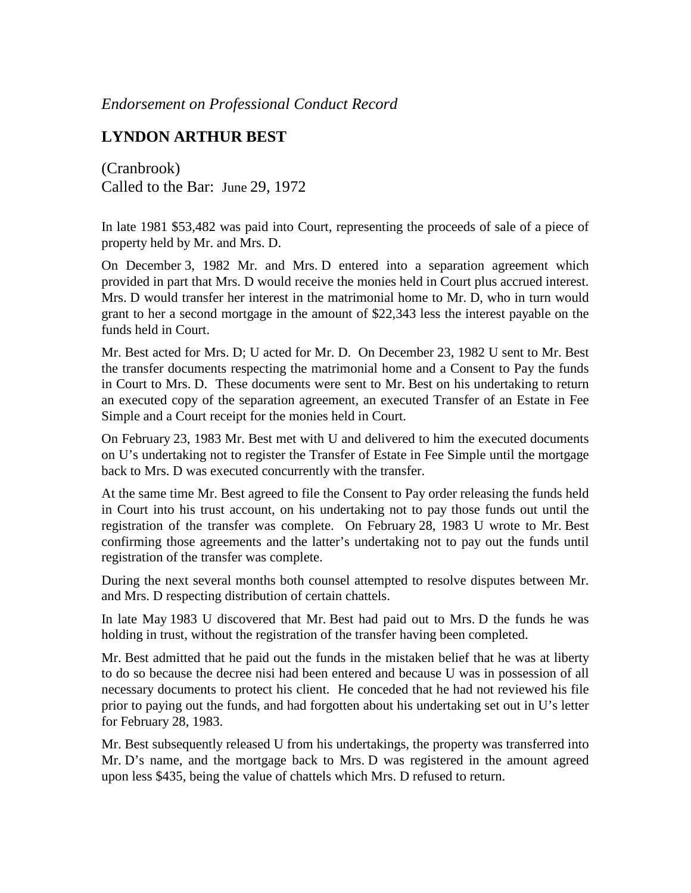*Endorsement on Professional Conduct Record*

## **LYNDON ARTHUR BEST**

(Cranbrook) Called to the Bar: June 29, 1972

In late 1981 \$53,482 was paid into Court, representing the proceeds of sale of a piece of property held by Mr. and Mrs. D.

On December 3, 1982 Mr. and Mrs. D entered into a separation agreement which provided in part that Mrs. D would receive the monies held in Court plus accrued interest. Mrs. D would transfer her interest in the matrimonial home to Mr. D, who in turn would grant to her a second mortgage in the amount of \$22,343 less the interest payable on the funds held in Court.

Mr. Best acted for Mrs. D; U acted for Mr. D. On December 23, 1982 U sent to Mr. Best the transfer documents respecting the matrimonial home and a Consent to Pay the funds in Court to Mrs. D. These documents were sent to Mr. Best on his undertaking to return an executed copy of the separation agreement, an executed Transfer of an Estate in Fee Simple and a Court receipt for the monies held in Court.

On February 23, 1983 Mr. Best met with U and delivered to him the executed documents on U's undertaking not to register the Transfer of Estate in Fee Simple until the mortgage back to Mrs. D was executed concurrently with the transfer.

At the same time Mr. Best agreed to file the Consent to Pay order releasing the funds held in Court into his trust account, on his undertaking not to pay those funds out until the registration of the transfer was complete. On February 28, 1983 U wrote to Mr. Best confirming those agreements and the latter's undertaking not to pay out the funds until registration of the transfer was complete.

During the next several months both counsel attempted to resolve disputes between Mr. and Mrs. D respecting distribution of certain chattels.

In late May 1983 U discovered that Mr. Best had paid out to Mrs. D the funds he was holding in trust, without the registration of the transfer having been completed.

Mr. Best admitted that he paid out the funds in the mistaken belief that he was at liberty to do so because the decree nisi had been entered and because U was in possession of all necessary documents to protect his client. He conceded that he had not reviewed his file prior to paying out the funds, and had forgotten about his undertaking set out in U's letter for February 28, 1983.

Mr. Best subsequently released U from his undertakings, the property was transferred into Mr. D's name, and the mortgage back to Mrs. D was registered in the amount agreed upon less \$435, being the value of chattels which Mrs. D refused to return.